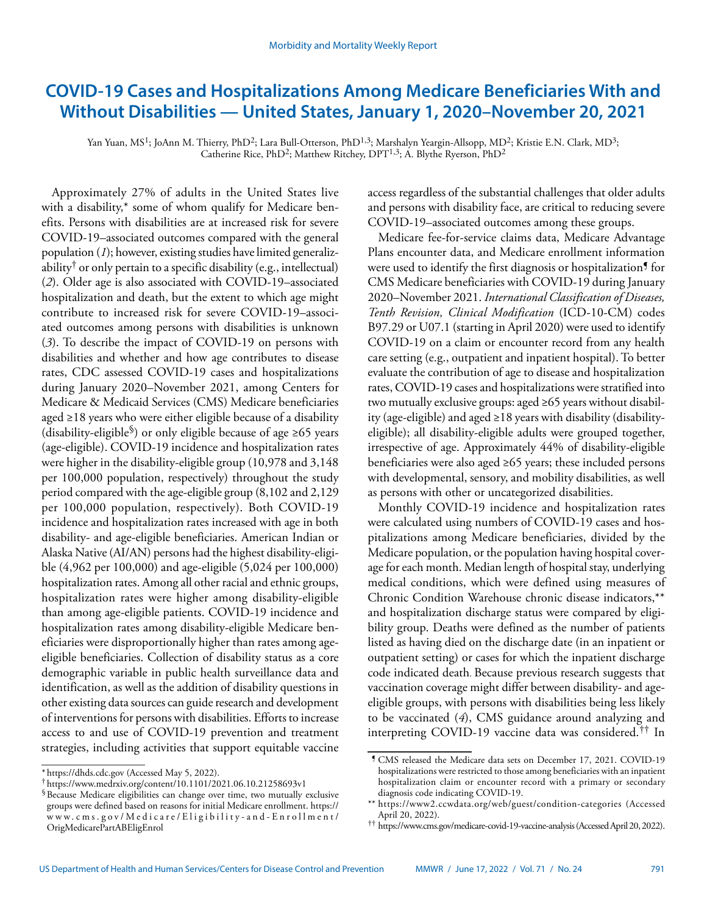# **COVID-19 Cases and Hospitalizations Among Medicare Beneficiaries With and Without Disabilities — United States, January 1, 2020–November 20, 2021**

Yan Yuan, MS<sup>1</sup>; JoAnn M. Thierry, PhD<sup>2</sup>; Lara Bull-Otterson, PhD<sup>1,3</sup>; Marshalyn Yeargin-Allsopp, MD<sup>2</sup>; Kristie E.N. Clark, MD<sup>3</sup>; Catherine Rice, PhD<sup>2</sup>; Matthew Ritchey, DPT<sup>1,3</sup>; A. Blythe Ryerson, PhD<sup>2</sup>

Approximately 27% of adults in the United States live with a disability,\* some of whom qualify for Medicare benefits. Persons with disabilities are at increased risk for severe COVID-19–associated outcomes compared with the general population (*1*); however, existing studies have limited generalizability<sup>†</sup> or only pertain to a specific disability (e.g., intellectual) (*2*). Older age is also associated with COVID-19–associated hospitalization and death, but the extent to which age might contribute to increased risk for severe COVID-19–associated outcomes among persons with disabilities is unknown (*3*). To describe the impact of COVID-19 on persons with disabilities and whether and how age contributes to disease rates, CDC assessed COVID-19 cases and hospitalizations during January 2020–November 2021, among Centers for Medicare & Medicaid Services (CMS) Medicare beneficiaries aged ≥18 years who were either eligible because of a disability (disability-eligible§) or only eligible because of age ≥65 years (age-eligible). COVID-19 incidence and hospitalization rates were higher in the disability-eligible group (10,978 and 3,148 per 100,000 population, respectively) throughout the study period compared with the age-eligible group (8,102 and 2,129 per 100,000 population, respectively). Both COVID-19 incidence and hospitalization rates increased with age in both disability- and age-eligible beneficiaries. American Indian or Alaska Native (AI/AN) persons had the highest disability-eligible (4,962 per 100,000) and age-eligible (5,024 per 100,000) hospitalization rates. Among all other racial and ethnic groups, hospitalization rates were higher among disability-eligible than among age-eligible patients. COVID-19 incidence and hospitalization rates among disability-eligible Medicare beneficiaries were disproportionally higher than rates among ageeligible beneficiaries. Collection of disability status as a core demographic variable in public health surveillance data and identification, as well as the addition of disability questions in other existing data sources can guide research and development of interventions for persons with disabilities. Efforts to increase access to and use of COVID-19 prevention and treatment strategies, including activities that support equitable vaccine

access regardless of the substantial challenges that older adults and persons with disability face, are critical to reducing severe COVID-19–associated outcomes among these groups.

Medicare fee-for-service claims data, Medicare Advantage Plans encounter data, and Medicare enrollment information were used to identify the first diagnosis or hospitalization<sup>1</sup> for CMS Medicare beneficiaries with COVID-19 during January 2020–November 2021. *International Classification of Diseases, Tenth Revision, Clinical Modification* (ICD-10-CM) codes B97.29 or U07.1 (starting in April 2020) were used to identify COVID-19 on a claim or encounter record from any health care setting (e.g., outpatient and inpatient hospital). To better evaluate the contribution of age to disease and hospitalization rates, COVID-19 cases and hospitalizations were stratified into two mutually exclusive groups: aged ≥65 years without disability (age-eligible) and aged ≥18 years with disability (disabilityeligible); all disability-eligible adults were grouped together, irrespective of age. Approximately 44% of disability-eligible beneficiaries were also aged ≥65 years; these included persons with developmental, sensory, and mobility disabilities, as well as persons with other or uncategorized disabilities.

Monthly COVID-19 incidence and hospitalization rates were calculated using numbers of COVID-19 cases and hospitalizations among Medicare beneficiaries, divided by the Medicare population, or the population having hospital coverage for each month. Median length of hospital stay, underlying medical conditions, which were defined using measures of Chronic Condition Warehouse chronic disease indicators,\*\* and hospitalization discharge status were compared by eligibility group. Deaths were defined as the number of patients listed as having died on the discharge date (in an inpatient or outpatient setting) or cases for which the inpatient discharge code indicated death. Because previous research suggests that vaccination coverage might differ between disability- and ageeligible groups, with persons with disabilities being less likely to be vaccinated (*4*), CMS guidance around analyzing and interpreting COVID-19 vaccine data was considered.†† In

<sup>\*</sup> <https://dhds.cdc.gov> (Accessed May 5, 2022).

<sup>†</sup> <https://www.medrxiv.org/content/10.1101/2021.06.10.21258693v1>

<sup>§</sup>Because Medicare eligibilities can change over time, two mutually exclusive groups were defined based on reasons for initial Medicare enrollment. [https://](https://www.cms.gov/Medicare/Eligibility-and-Enrollment/OrigMedicarePartABEligEnrol) [www.cms.gov/Medicare/Eligibility-and-Enrollment/](https://www.cms.gov/Medicare/Eligibility-and-Enrollment/OrigMedicarePartABEligEnrol) [OrigMedicarePartABEligEnrol](https://www.cms.gov/Medicare/Eligibility-and-Enrollment/OrigMedicarePartABEligEnrol)

<sup>¶</sup> CMS released the Medicare data sets on December 17, 2021. COVID-19 hospitalizations were restricted to those among beneficiaries with an inpatient hospitalization claim or encounter record with a primary or secondary diagnosis code indicating COVID-19.

<sup>\*\*</sup> <https://www2.ccwdata.org/web/guest/condition-categories>(Accessed April 20, 2022).

<sup>††</sup> <https://www.cms.gov/medicare-covid-19-vaccine-analysis>(Accessed April 20, 2022).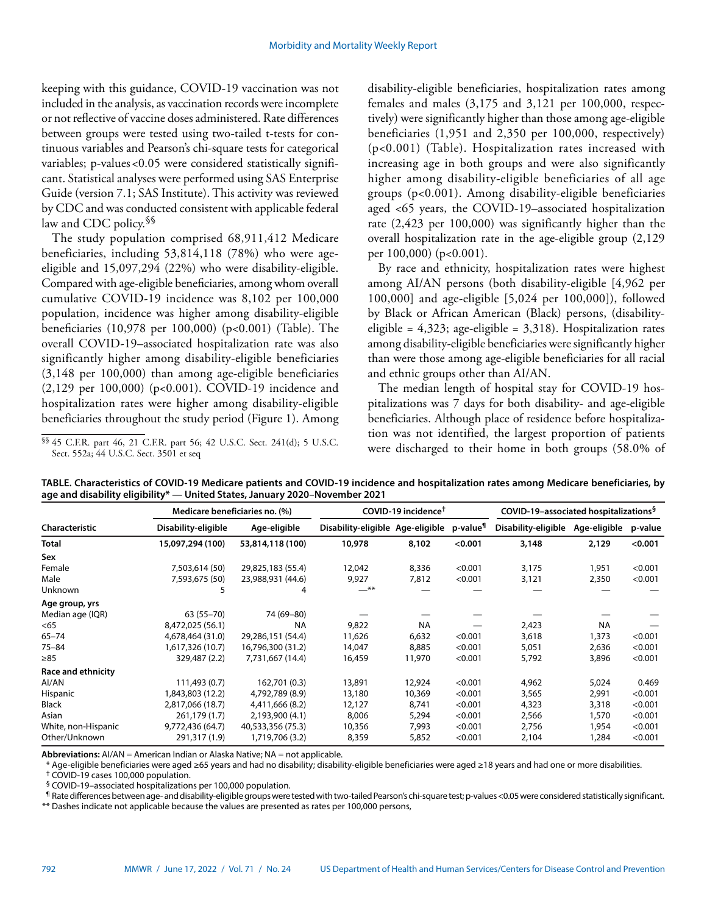keeping with this guidance, COVID-19 vaccination was not included in the analysis, as vaccination records were incomplete or not reflective of vaccine doses administered. Rate differences between groups were tested using two-tailed t-tests for continuous variables and Pearson's chi-square tests for categorical variables; p-values <0.05 were considered statistically significant. Statistical analyses were performed using SAS Enterprise Guide (version 7.1; SAS Institute). This activity was reviewed by CDC and was conducted consistent with applicable federal law and CDC policy.<sup>§§</sup>

The study population comprised 68,911,412 Medicare beneficiaries, including 53,814,118 (78%) who were ageeligible and 15,097,294 (22%) who were disability-eligible. Compared with age-eligible beneficiaries, among whom overall cumulative COVID-19 incidence was 8,102 per 100,000 population, incidence was higher among disability-eligible beneficiaries (10,978 per 100,000) (p<0.001) (Table). The overall COVID-19–associated hospitalization rate was also significantly higher among disability-eligible beneficiaries (3,148 per 100,000) than among age-eligible beneficiaries (2,129 per 100,000) (p<0.001). COVID-19 incidence and hospitalization rates were higher among disability-eligible beneficiaries throughout the study period (Figure 1). Among

§§ 45 C.F.R. part 46, 21 C.F.R. part 56; 42 U.S.C. Sect. 241(d); 5 U.S.C. Sect. 552a; 44 U.S.C. Sect. 3501 et seq

disability-eligible beneficiaries, hospitalization rates among females and males (3,175 and 3,121 per 100,000, respectively) were significantly higher than those among age-eligible beneficiaries (1,951 and 2,350 per 100,000, respectively) (p<0.001) (Table). Hospitalization rates increased with increasing age in both groups and were also significantly higher among disability-eligible beneficiaries of all age groups (p<0.001). Among disability-eligible beneficiaries aged <65 years, the COVID-19–associated hospitalization rate (2,423 per 100,000) was significantly higher than the overall hospitalization rate in the age-eligible group (2,129 per 100,000) (p<0.001).

By race and ethnicity, hospitalization rates were highest among AI/AN persons (both disability-eligible [4,962 per 100,000] and age-eligible [5,024 per 100,000]), followed by Black or African American (Black) persons, (disabilityeligible =  $4,323$ ; age-eligible =  $3,318$ ). Hospitalization rates among disability-eligible beneficiaries were significantly higher than were those among age-eligible beneficiaries for all racial and ethnic groups other than AI/AN.

The median length of hospital stay for COVID-19 hospitalizations was 7 days for both disability- and age-eligible beneficiaries. Although place of residence before hospitalization was not identified, the largest proportion of patients were discharged to their home in both groups (58.0% of

|                           | Medicare beneficiaries no. (%) |                   | COVID-19 incidence <sup>†</sup>  |           |                      | COVID-19-associated hospitalizations <sup>§</sup> |              |         |
|---------------------------|--------------------------------|-------------------|----------------------------------|-----------|----------------------|---------------------------------------------------|--------------|---------|
| <b>Characteristic</b>     | Disability-eligible            | Age-eligible      | Disability-eligible Age-eligible |           | p-value <sup>¶</sup> | Disability-eligible                               | Age-eligible | p-value |
| <b>Total</b>              | 15,097,294 (100)               | 53,814,118 (100)  | 10,978                           | 8,102     | < 0.001              | 3,148                                             | 2,129        | < 0.001 |
| Sex                       |                                |                   |                                  |           |                      |                                                   |              |         |
| Female                    | 7,503,614 (50)                 | 29,825,183 (55.4) | 12,042                           | 8,336     | < 0.001              | 3,175                                             | 1,951        | < 0.001 |
| Male                      | 7,593,675 (50)                 | 23,988,931 (44.6) | 9,927                            | 7,812     | < 0.001              | 3,121                                             | 2,350        | < 0.001 |
| <b>Unknown</b>            |                                | 4                 | $***$                            |           |                      |                                                   |              |         |
| Age group, yrs            |                                |                   |                                  |           |                      |                                                   |              |         |
| Median age (IQR)          | 63 (55 - 70)                   | 74 (69-80)        |                                  |           |                      |                                                   |              |         |
| $65$                      | 8,472,025 (56.1)               | <b>NA</b>         | 9,822                            | <b>NA</b> |                      | 2,423                                             | <b>NA</b>    |         |
| $65 - 74$                 | 4,678,464 (31.0)               | 29,286,151 (54.4) | 11,626                           | 6,632     | < 0.001              | 3,618                                             | 1,373        | < 0.001 |
| $75 - 84$                 | 1,617,326 (10.7)               | 16,796,300 (31.2) | 14,047                           | 8,885     | < 0.001              | 5,051                                             | 2,636        | < 0.001 |
| $\geq 85$                 | 329,487 (2.2)                  | 7,731,667 (14.4)  | 16,459                           | 11,970    | < 0.001              | 5,792                                             | 3,896        | < 0.001 |
| <b>Race and ethnicity</b> |                                |                   |                                  |           |                      |                                                   |              |         |
| AI/AN                     | 111,493 (0.7)                  | 162,701 (0.3)     | 13,891                           | 12,924    | < 0.001              | 4,962                                             | 5,024        | 0.469   |
| Hispanic                  | 1,843,803 (12.2)               | 4,792,789 (8.9)   | 13,180                           | 10,369    | < 0.001              | 3,565                                             | 2,991        | < 0.001 |
| <b>Black</b>              | 2,817,066 (18.7)               | 4,411,666 (8.2)   | 12,127                           | 8,741     | < 0.001              | 4,323                                             | 3,318        | < 0.001 |
| Asian                     | 261,179 (1.7)                  | 2,193,900 (4.1)   | 8,006                            | 5,294     | < 0.001              | 2,566                                             | 1,570        | < 0.001 |
| White, non-Hispanic       | 9,772,436 (64.7)               | 40,533,356 (75.3) | 10,356                           | 7,993     | < 0.001              | 2,756                                             | 1,954        | < 0.001 |
| Other/Unknown             | 291,317 (1.9)                  | 1,719,706 (3.2)   | 8,359                            | 5,852     | < 0.001              | 2,104                                             | 1,284        | < 0.001 |

**TABLE. Characteristics of COVID-19 Medicare patients and COVID-19 incidence and hospitalization rates among Medicare beneficiaries, by age and disability eligibility\* — United States, January 2020–November 2021**

**Abbreviations:** AI/AN = American Indian or Alaska Native; NA = not applicable.

\* Age-eligible beneficiaries were aged ≥65 years and had no disability; disability-eligible beneficiaries were aged ≥18 years and had one or more disabilities.

† COVID-19 cases 100,000 population.

§ COVID-19–associated hospitalizations per 100,000 population.

¶ Rate differences between age- and disability-eligible groups were tested with two-tailed Pearson's chi-square test; p-values<0.05 were considered statistically significant.

\*\* Dashes indicate not applicable because the values are presented as rates per 100,000 persons,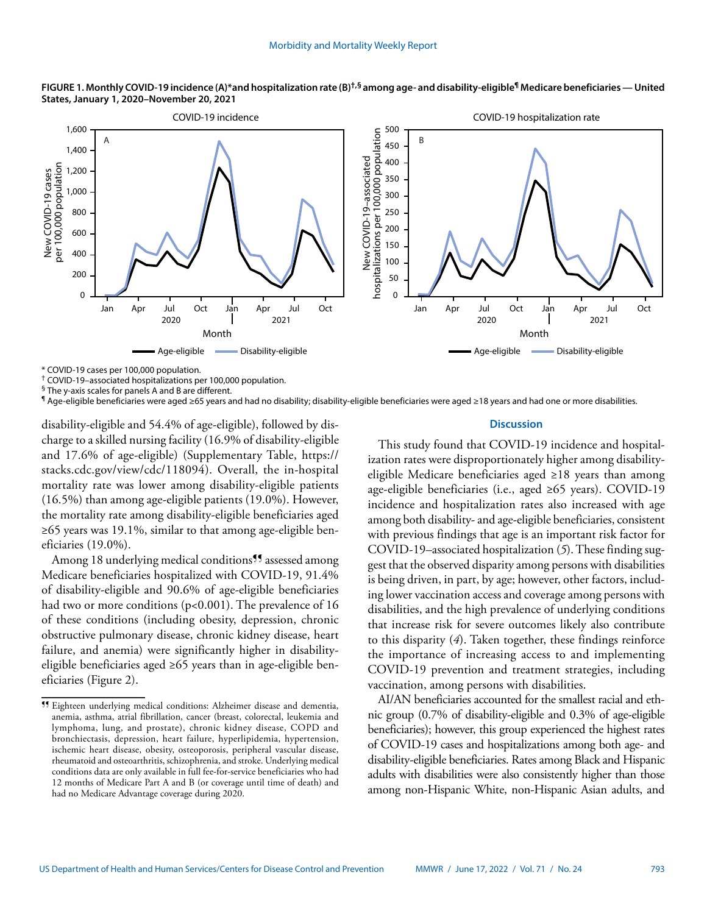



\* COVID-19 cases per 100,000 population.

† COVID-19–associated hospitalizations per 100,000 population.

 $\frac{5}{3}$  The y-axis scales for panels A and B are different.

¶ Age-eligible beneficiaries were aged ≥65 years and had no disability; disability-eligible beneficiaries were aged ≥18 years and had one or more disabilities.

disability-eligible and 54.4% of age-eligible), followed by discharge to a skilled nursing facility (16.9% of disability-eligible and 17.6% of age-eligible) (Supplementary Table, [https://](https://stacks.cdc.gov/view/cdc/118094) [stacks.cdc.gov/view/cdc/118094\)](https://stacks.cdc.gov/view/cdc/118094). Overall, the in-hospital mortality rate was lower among disability-eligible patients (16.5%) than among age-eligible patients (19.0%). However, the mortality rate among disability-eligible beneficiaries aged ≥65 years was 19.1%, similar to that among age-eligible beneficiaries (19.0%).

Among 18 underlying medical conditions<sup>99</sup> assessed among Medicare beneficiaries hospitalized with COVID-19, 91.4% of disability-eligible and 90.6% of age-eligible beneficiaries had two or more conditions (p<0.001). The prevalence of 16 of these conditions (including obesity, depression, chronic obstructive pulmonary disease, chronic kidney disease, heart failure, and anemia) were significantly higher in disabilityeligible beneficiaries aged ≥65 years than in age-eligible beneficiaries (Figure 2).

## **Discussion**

This study found that COVID-19 incidence and hospitalization rates were disproportionately higher among disabilityeligible Medicare beneficiaries aged ≥18 years than among age-eligible beneficiaries (i.e., aged ≥65 years). COVID-19 incidence and hospitalization rates also increased with age among both disability- and age-eligible beneficiaries, consistent with previous findings that age is an important risk factor for COVID-19–associated hospitalization (*5*). These finding suggest that the observed disparity among persons with disabilities is being driven, in part, by age; however, other factors, including lower vaccination access and coverage among persons with disabilities, and the high prevalence of underlying conditions that increase risk for severe outcomes likely also contribute to this disparity (*4*). Taken together, these findings reinforce the importance of increasing access to and implementing COVID-19 prevention and treatment strategies, including vaccination, among persons with disabilities.

AI/AN beneficiaries accounted for the smallest racial and ethnic group (0.7% of disability-eligible and 0.3% of age-eligible beneficiaries); however, this group experienced the highest rates of COVID-19 cases and hospitalizations among both age- and disability-eligible beneficiaries. Rates among Black and Hispanic adults with disabilities were also consistently higher than those among non-Hispanic White, non-Hispanic Asian adults, and

<sup>¶¶</sup> Eighteen underlying medical conditions: Alzheimer disease and dementia, anemia, asthma, atrial fibrillation, cancer (breast, colorectal, leukemia and lymphoma, lung, and prostate), chronic kidney disease, COPD and bronchiectasis, depression, heart failure, hyperlipidemia, hypertension, ischemic heart disease, obesity, osteoporosis, peripheral vascular disease, rheumatoid and osteoarthritis, schizophrenia, and stroke. Underlying medical conditions data are only available in full fee-for-service beneficiaries who had 12 months of Medicare Part A and B (or coverage until time of death) and had no Medicare Advantage coverage during 2020.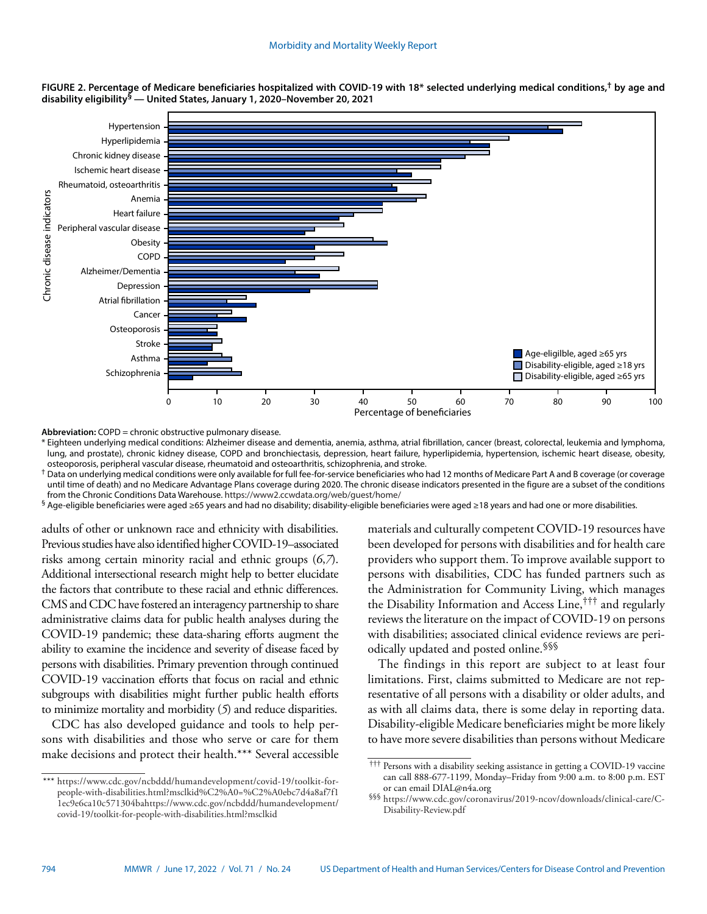

**FIGURE 2. Percentage of Medicare beneficiaries hospitalized with COVID-19 with 18\* selected underlying medical conditions,† by age and disability eligibility§ — United States, January 1, 2020–November 20, 2021**

**Abbreviation:** COPD = chronic obstructive pulmonary disease.

\* Eighteen underlying medical conditions: Alzheimer disease and dementia, anemia, asthma, atrial fibrillation, cancer (breast, colorectal, leukemia and lymphoma, lung, and prostate), chronic kidney disease, COPD and bronchiectasis, depression, heart failure, hyperlipidemia, hypertension, ischemic heart disease, obesity, osteoporosis, peripheral vascular disease, rheumatoid and osteoarthritis, schizophrenia, and stroke.

<sup>†</sup> Data on underlying medical conditions were only available for full fee-for-service beneficiaries who had 12 months of Medicare Part A and B coverage (or coverage until time of death) and no Medicare Advantage Plans coverage during 2020. The chronic disease indicators presented in the figure are a subset of the conditions from the Chronic Conditions Data Warehouse. <https://www2.ccwdata.org/web/guest/home/>

§ Age-eligible beneficiaries were aged ≥65 years and had no disability; disability-eligible beneficiaries were aged ≥18 years and had one or more disabilities.

adults of other or unknown race and ethnicity with disabilities. Previous studies have also identified higher COVID-19–associated risks among certain minority racial and ethnic groups (*6*,*7*). Additional intersectional research might help to better elucidate the factors that contribute to these racial and ethnic differences. CMS and CDC have fostered an interagency partnership to share administrative claims data for public health analyses during the COVID-19 pandemic; these data-sharing efforts augment the ability to examine the incidence and severity of disease faced by persons with disabilities. Primary prevention through continued COVID-19 vaccination efforts that focus on racial and ethnic subgroups with disabilities might further public health efforts to minimize mortality and morbidity (*5*) and reduce disparities.

CDC has also developed guidance and tools to help persons with disabilities and those who serve or care for them make decisions and protect their health.\*\*\* Several accessible

\*\*\* [https://www.cdc.gov/ncbddd/humandevelopment/covid-19/toolkit-for](https://www.cdc.gov/ncbddd/humandevelopment/covid-19/toolkit-for-people-with-disabilities.html?msclkid%C2%A0=%C2%A0ebc7d4a8af7f11ec9e6ca10c571304bahttps://www.cdc.gov/ncbddd/humandevelopment/covid-19/toolkit-for-people-with-disabilities.html?msclkid)[people-with-disabilities.html?msclkid%C2%A0=%C2%A0ebc7d4a8af7f1](https://www.cdc.gov/ncbddd/humandevelopment/covid-19/toolkit-for-people-with-disabilities.html?msclkid%C2%A0=%C2%A0ebc7d4a8af7f11ec9e6ca10c571304bahttps://www.cdc.gov/ncbddd/humandevelopment/covid-19/toolkit-for-people-with-disabilities.html?msclkid) [1ec9e6ca10c571304bahttps://www.cdc.gov/ncbddd/humandevelopment/](https://www.cdc.gov/ncbddd/humandevelopment/covid-19/toolkit-for-people-with-disabilities.html?msclkid%C2%A0=%C2%A0ebc7d4a8af7f11ec9e6ca10c571304bahttps://www.cdc.gov/ncbddd/humandevelopment/covid-19/toolkit-for-people-with-disabilities.html?msclkid) [covid-19/toolkit-for-people-with-disabilities.html?msclkid](https://www.cdc.gov/ncbddd/humandevelopment/covid-19/toolkit-for-people-with-disabilities.html?msclkid%C2%A0=%C2%A0ebc7d4a8af7f11ec9e6ca10c571304bahttps://www.cdc.gov/ncbddd/humandevelopment/covid-19/toolkit-for-people-with-disabilities.html?msclkid)

materials and culturally competent COVID-19 resources have been developed for persons with disabilities and for health care providers who support them. To improve available support to persons with disabilities, CDC has funded partners such as the Administration for Community Living, which manages the Disability Information and Access Line,††† and regularly reviews the literature on the impact of COVID-19 on persons with disabilities; associated clinical evidence reviews are periodically updated and posted online.§§§

The findings in this report are subject to at least four limitations. First, claims submitted to Medicare are not representative of all persons with a disability or older adults, and as with all claims data, there is some delay in reporting data. Disability-eligible Medicare beneficiaries might be more likely to have more severe disabilities than persons without Medicare

<sup>†††</sup> Persons with a disability seeking assistance in getting a COVID-19 vaccine can call 888-677-1199, Monday–Friday from 9:00 a.m. to 8:00 p.m. EST or can email [DIAL@n4a.org](mailto:DIAL@n4a.org)

<sup>§§§</sup> [https://www.cdc.gov/coronavirus/2019-ncov/downloads/clinical-care/C-](https://www.cdc.gov/coronavirus/2019-ncov/downloads/clinical-care/C-Disability-Review.pdf)[Disability-Review.pdf](https://www.cdc.gov/coronavirus/2019-ncov/downloads/clinical-care/C-Disability-Review.pdf)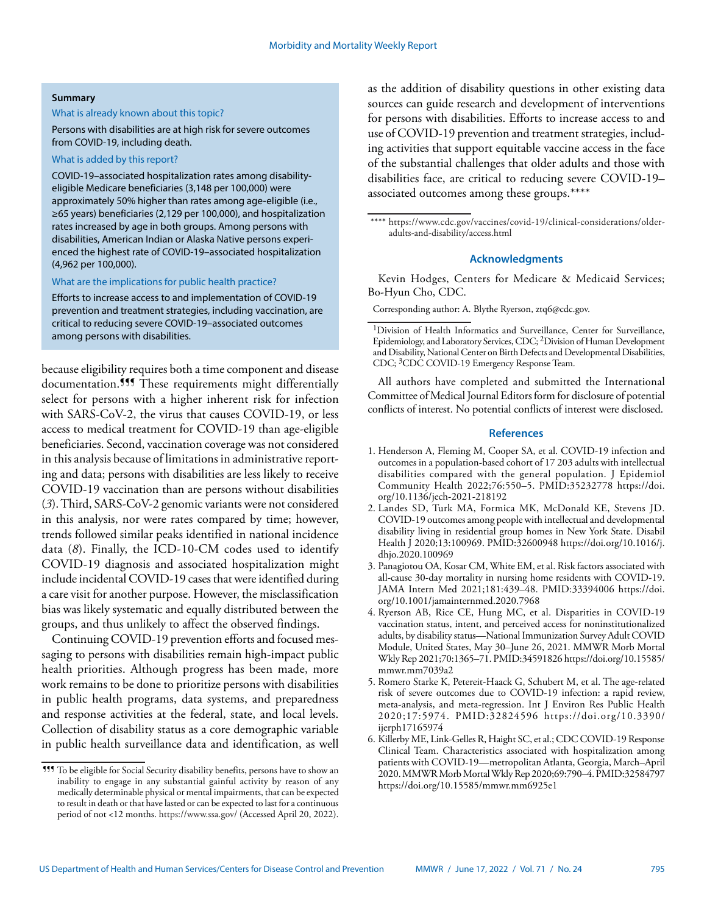#### **Summary**

#### What is already known about this topic?

#### Persons with disabilities are at high risk for severe outcomes from COVID-19, including death.

## What is added by this report?

COVID-19–associated hospitalization rates among disabilityeligible Medicare beneficiaries (3,148 per 100,000) were approximately 50% higher than rates among age-eligible (i.e., ≥65 years) beneficiaries (2,129 per 100,000), and hospitalization rates increased by age in both groups. Among persons with disabilities, American Indian or Alaska Native persons experienced the highest rate of COVID-19–associated hospitalization (4,962 per 100,000).

### What are the implications for public health practice?

Efforts to increase access to and implementation of COVID-19 prevention and treatment strategies, including vaccination, are critical to reducing severe COVID-19–associated outcomes among persons with disabilities.

because eligibility requires both a time component and disease documentation.<sup>999</sup> These requirements might differentially select for persons with a higher inherent risk for infection with SARS-CoV-2, the virus that causes COVID-19, or less access to medical treatment for COVID-19 than age-eligible beneficiaries. Second, vaccination coverage was not considered in this analysis because of limitations in administrative reporting and data; persons with disabilities are less likely to receive COVID-19 vaccination than are persons without disabilities (*3*). Third, SARS-CoV-2 genomic variants were not considered in this analysis, nor were rates compared by time; however, trends followed similar peaks identified in national incidence data (*8*). Finally, the ICD-10-CM codes used to identify COVID-19 diagnosis and associated hospitalization might include incidental COVID-19 cases that were identified during a care visit for another purpose. However, the misclassification bias was likely systematic and equally distributed between the groups, and thus unlikely to affect the observed findings.

Continuing COVID-19 prevention efforts and focused messaging to persons with disabilities remain high-impact public health priorities. Although progress has been made, more work remains to be done to prioritize persons with disabilities in public health programs, data systems, and preparedness and response activities at the federal, state, and local levels. Collection of disability status as a core demographic variable in public health surveillance data and identification, as well

as the addition of disability questions in other existing data sources can guide research and development of interventions for persons with disabilities. Efforts to increase access to and use of COVID-19 prevention and treatment strategies, including activities that support equitable vaccine access in the face of the substantial challenges that older adults and those with disabilities face, are critical to reducing severe COVID-19– associated outcomes among these groups.\*\*\*\*

\*\*\*\* [https://www.cdc.gov/vaccines/covid-19/clinical-considerations/older](https://www.cdc.gov/vaccines/covid-19/clinical-considerations/older-adults-and-disability/access.html)[adults-and-disability/access.html](https://www.cdc.gov/vaccines/covid-19/clinical-considerations/older-adults-and-disability/access.html)

## **Acknowledgments**

Kevin Hodges, Centers for Medicare & Medicaid Services; Bo-Hyun Cho, CDC.

Corresponding author: A. Blythe Ryerson, [ztq6@cdc.gov](mailto:ztq6@cdc.gov).

All authors have completed and submitted the International Committee of Medical Journal Editors form for disclosure of potential conflicts of interest. No potential conflicts of interest were disclosed.

#### **References**

- 1. Henderson A, Fleming M, Cooper SA, et al. COVID-19 infection and outcomes in a population-based cohort of 17 203 adults with intellectual disabilities compared with the general population. J Epidemiol Community Health 2022;76:550–5. [PMID:35232778](https://www.ncbi.nlm.nih.gov/entrez/query.fcgi?cmd=Retrieve&db=PubMed&list_uids=35232778&dopt=Abstract) [https://doi.](https://doi.org/10.1136/jech-2021-218192) [org/10.1136/jech-2021-218192](https://doi.org/10.1136/jech-2021-218192)
- 2. Landes SD, Turk MA, Formica MK, McDonald KE, Stevens JD. COVID-19 outcomes among people with intellectual and developmental disability living in residential group homes in New York State. Disabil Health J 2020;13:100969. [PMID:32600948](https://www.ncbi.nlm.nih.gov/entrez/query.fcgi?cmd=Retrieve&db=PubMed&list_uids=32600948&dopt=Abstract) [https://doi.org/10.1016/j.](https://doi.org/10.1016/j.dhjo.2020.100969) [dhjo.2020.100969](https://doi.org/10.1016/j.dhjo.2020.100969)
- 3. Panagiotou OA, Kosar CM, White EM, et al. Risk factors associated with all-cause 30-day mortality in nursing home residents with COVID-19. JAMA Intern Med 2021;181:439–48[. PMID:33394006](https://www.ncbi.nlm.nih.gov/entrez/query.fcgi?cmd=Retrieve&db=PubMed&list_uids=33394006&dopt=Abstract) [https://doi.](https://doi.org/10.1001/jamainternmed.2020.7968) [org/10.1001/jamainternmed.2020.7968](https://doi.org/10.1001/jamainternmed.2020.7968)
- 4. Ryerson AB, Rice CE, Hung MC, et al. Disparities in COVID-19 vaccination status, intent, and perceived access for noninstitutionalized adults, by disability status—National Immunization Survey Adult COVID Module, United States, May 30–June 26, 2021. MMWR Morb Mortal Wkly Rep 2021;70:1365–71[. PMID:34591826](https://www.ncbi.nlm.nih.gov/entrez/query.fcgi?cmd=Retrieve&db=PubMed&list_uids=34591826&dopt=Abstract) [https://doi.org/10.15585/](https://doi.org/10.15585/mmwr.mm7039a2) [mmwr.mm7039a2](https://doi.org/10.15585/mmwr.mm7039a2)
- 5. Romero Starke K, Petereit-Haack G, Schubert M, et al. The age-related risk of severe outcomes due to COVID-19 infection: a rapid review, meta-analysis, and meta-regression. Int J Environ Res Public Health 2020;17:5974. [PMID:32824596](https://www.ncbi.nlm.nih.gov/entrez/query.fcgi?cmd=Retrieve&db=PubMed&list_uids=32824596&dopt=Abstract) [https://doi.org/10.3390/](https://doi.org/10.3390/ijerph17165974) [ijerph17165974](https://doi.org/10.3390/ijerph17165974)
- 6. Killerby ME, Link-Gelles R, Haight SC, et al.; CDC COVID-19 Response Clinical Team. Characteristics associated with hospitalization among patients with COVID-19—metropolitan Atlanta, Georgia, March–April 2020. MMWR Morb Mortal Wkly Rep 2020;69:790–4. [PMID:32584797](https://www.ncbi.nlm.nih.gov/entrez/query.fcgi?cmd=Retrieve&db=PubMed&list_uids=32584797&dopt=Abstract) <https://doi.org/10.15585/mmwr.mm6925e1>

<sup>¶¶¶</sup> To be eligible for Social Security disability benefits, persons have to show an inability to engage in any substantial gainful activity by reason of any medically determinable physical or mental impairments, that can be expected to result in death or that have lasted or can be expected to last for a continuous period of not <12 months. <https://www.ssa.gov/>(Accessed April 20, 2022).

<sup>1</sup>Division of Health Informatics and Surveillance, Center for Surveillance, Epidemiology, and Laboratory Services, CDC; 2Division of Human Development and Disability, National Center on Birth Defects and Developmental Disabilities, CDC; 3CDC COVID-19 Emergency Response Team.